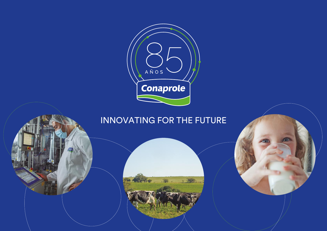

# INNOVATING FOR THE FUTURE

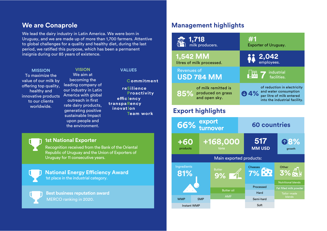We lead the dairy industry in Latin America. We were born in Uruguay, and we are made up of more than 1,700 farmers. Attentive to global challenges for a quality and healthy diet, during the last period, we ratified this purpose, which has been a permanent insignia during our 85 years of existence.

#### **MISSION VALUES**

To maximize the value of our milk by offering top quality, healthy and innovative products to our clients worldwide.

## **VISION** We aim at

becoming the leading company of our industry in Latin America with global outreach in first rate dairy products, generating positive sustainable Impact upon people and the environment.

**Commitment**

**reSilience Proactivity efficlency transpaRency Team work inovatIon**

## **1st National Exporter**

Recognition received from the Bank of the Oriental Republic of Uruguay and the Union of Exporters of Uruguay for 11 consecutive years.

1st place in the industrial category. **National Energy Efficiency Award** 

MERCO ranking in 2020. **Best business reputation award**

## **Me are Conaprole <b>Management highlights**

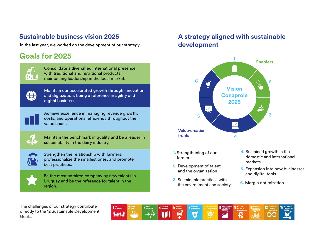In the last year, we worked on the development of our strategy. **development** 

## **Goals for 2025**



Consolidate a diversified international presence with traditional and nutritional products, maintaining leadership in the local market.



Maintain our accelerated growth through innovation and digitization, being a reference in agility and digital business.



Achieve excellence in managing revenue growth, costs, and operational efficiency throughout the value chain.



Maintain the benchmark in quality and be a leader in sustainability in the dairy industry.



Strengthen the relationship with farmers, professionalize the smallest ones, and promote best practices.



Be the most admired company by new talents in Uruguay and be the reference for talent in the region.

# **Sustainable business vision 2025 A strategy aligned with sustainable**



- **1.** Strengthening of our farmers
- **2.** Development of talent and the organization
- **3**. Sustainable practices with the environment and society
- **4.** Sustained growth in the domestic and international markets
- **5.** Expansion into new businesses and digital tools
- **6.** Margin optimization

The challenges of our strategy contribute directly to the 12 Sustainable Development Goals.

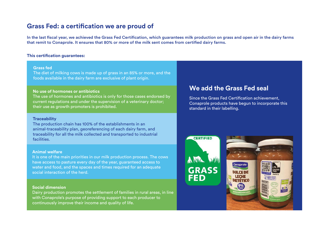## **Grass Fed: a certification we are proud of**

In the last fiscal year, we achieved the Grass Fed Certification, which guarantees milk production on grass and open air in the dairy farms that remit to Conaprole. It ensures that 80% or more of the milk sent comes from certified dairy farms.

#### **This certification guarantees:**

#### **Grass fed**

The diet of milking cows is made up of grass in an 85% or more, and the foods available in the dairy farm are exclusive of plant origin.

#### **No use of hormones or antibiotics**

The use of hormones and antibiotics is only for those cases endorsed by current regulations and under the supervision of a veterinary doctor; their use as growth promoters is prohibited.

#### **Traceability**

The production chain has 100% of the establishments in an animal-traceability plan, georeferencing of each dairy farm, and traceability for all the milk collected and transported to industrial facilities.

#### **Animal welfare**

It is one of the main priorities in our milk production process. The cows have access to pasture every day of the year, guaranteed access to water and food, and the spaces and times required for an adequate social interaction of the herd.

#### **Social dimension**

Dairy production promotes the settlement of families in rural areas, in line with Conaprole's purpose of providing support to each producer to continuously improve their income and quality of life.

## **We add the Grass Fed seal**

Since the Grass Fed Certification achievement, Conaprole products have begun to incorporate this standard in their labelling.



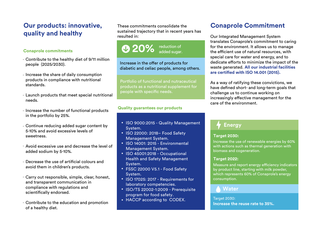## **Our products: innovative, quality and healthy**

#### **Conaprole commitments**

- Contribute to the healthy diet of 9/11 million people (2025/2030).
- $\cdot$  Increase the share of daily consumption products in compliance with nutritional standards.
- Launch products that meet special nutritional needs.
- $\cdot$  Increase the number of functional products in the portfolio by 25%.
- Continue reducing added sugar content by 5-10% and avoid excessive levels of sweetness.
- Avoid excessive use and decrease the level of added sodium by 5-10%.
- Decrease the use of artificial colours and avoid them in children's products.
- Carry out responsible, simple, clear, honest, and transparent communication in compliance with regulations and scientifically endorsed.
- Contribute to the education and promotion of a healthy diet.

These commitments consolidate the sustained trajectory that in recent years has resulted in:

# **120%** reduction of

Increase in the offer of products for diabetic and celiac people, among others.

Portfolio of functional and nutraceutical products as a nutritional supplement for people with specific needs.

#### **Quality guarantees our products**

- ISO 9000:2015 Quality Management System.
- ISO 22000: 2018– Food Safety Management System.
- ISO 14001: 2015 Environmental Management System.
- ISO 45001:2018 Occupational Health and Safety Management System.
- FSSC 22000 V5.1 Food Safety System.
- ISO 17025: 2017 Requirements for laboratory competencies.
- ISO/TS 22002-1:2009 Prerequisite program for food safety.
- HACCP according to CODEX.

## **Conaprole Commitment**

Our Integrated Management System translates Conaprole's commitment to caring for the environment. It allows us to manage the efficient use of natural resources, with special care for water and energy, and to dedicate efforts to minimize the impact of the waste generated. **All our industrial facilities are certied with ISO 14.001 (2015).**

As a way of ratifying these convictions, we have defined short- and long-term goals that challenge us to continue working on increasingly effective management for the care of the environment.

## **Energy**

### **Target 2030:**

Increase the use of renewable energies by 60% with actions such as thermal generation with biomass and cogeneration.

### **Target 2022:**

Measure and report energy efficiency indicators by product line, starting with milk powder, which represents 60% of Conaprole's energy consumption.

## **Water**

**Increase the reuse rate to 35%.**  Target 2030: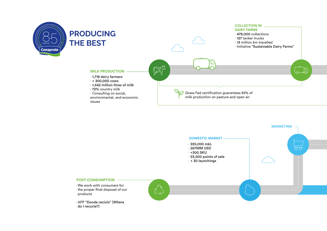



do I recycle?)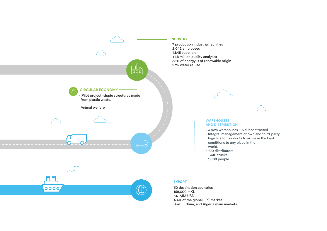